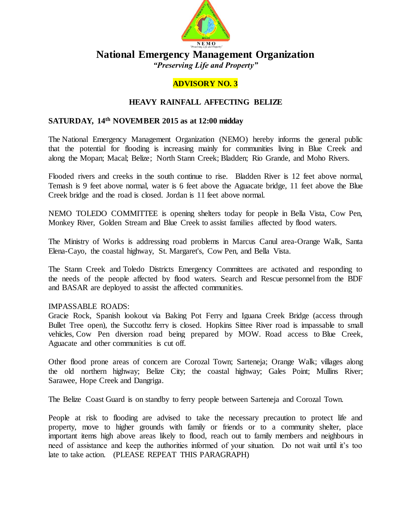

# **National Emergency Management Organization**

*"Preserving Life and Property"*

## **ADVISORY NO. 3**

### **HEAVY RAINFALL AFFECTING BELIZE**

#### **SATURDAY, 14 th NOVEMBER 2015 as at 12:00 midday**

The National Emergency Management Organization (NEMO) hereby informs the general public that the potential for flooding is increasing mainly for communities living in Blue Creek and along the Mopan; Macal; Belize; North Stann Creek; Bladden; Rio Grande, and Moho Rivers.

Flooded rivers and creeks in the south continue to rise. Bladden River is 12 feet above normal, Temash is 9 feet above normal, water is 6 feet above the Aguacate bridge, 11 feet above the Blue Creek bridge and the road is closed. Jordan is 11 feet above normal.

NEMO TOLEDO COMMITTEE is opening shelters today for people in Bella Vista, Cow Pen, Monkey River, Golden Stream and Blue Creek to assist families affected by flood waters.

The Ministry of Works is addressing road problems in Marcus Canul area-Orange Walk, Santa Elena-Cayo, the coastal highway, St. Margaret's, Cow Pen, and Bella Vista.

The Stann Creek and Toledo Districts Emergency Committees are activated and responding to the needs of the people affected by flood waters. Search and Rescue personnelfrom the BDF and BASAR are deployed to assist the affected communities.

#### IMPASSABLE ROADS:

Gracie Rock, Spanish lookout via Baking Pot Ferry and Iguana Creek Bridge (access through Bullet Tree open), the Succothz ferry is closed. Hopkins Sittee River road is impassable to small vehicles, Cow Pen diversion road being prepared by MOW. Road access to Blue Creek, Aguacate and other communities is cut off.

Other flood prone areas of concern are Corozal Town; Sarteneja; Orange Walk; villages along the old northern highway; Belize City; the coastal highway; Gales Point; Mullins River; Sarawee, Hope Creek and Dangriga.

The Belize Coast Guard is on standby to ferry people between Sarteneja and Corozal Town.

People at risk to flooding are advised to take the necessary precaution to protect life and property, move to higher grounds with family or friends or to a community shelter, place important items high above areas likely to flood, reach out to family members and neighbours in need of assistance and keep the authorities informed of your situation. Do not wait until it's too late to take action. (PLEASE REPEAT THIS PARAGRAPH)